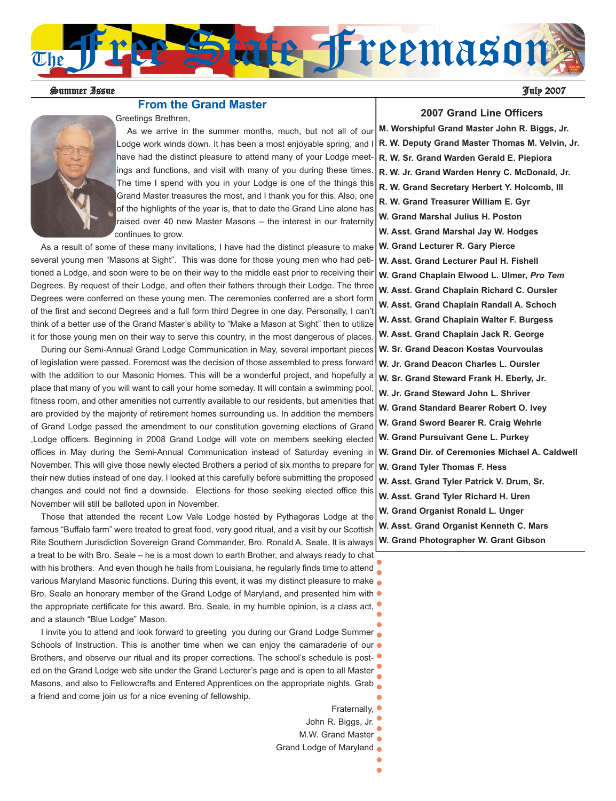

Summer Issue July 2007

#### **From the Grand Master**

Greetings Brethren,



As we arrive in the summer months, much, but not all of our Lodge work winds down. It has been a most enjoyable spring, and have had the distinct pleasure to attend many of your Lodge meetings and functions, and visit with many of you during these times. The time I spend with you in your Lodge is one of the things this Grand Master treasures the most, and I thank you for this. Also, one of the highlights of the year is, that to date the Grand Line alone has raised over 40 new Master Masons – the interest in our fraternity continues to grow.

As a result of some of these many invitations, I have had the distinct pleasure to make several young men "Masons at Sight". This was done for those young men who had petitioned a Lodge, and soon were to be on their way to the middle east prior to receiving their Degrees. By request of their Lodge, and often their fathers through their Lodge. The three Degrees were conferred on these young men. The ceremonies conferred are a short form of the first and second Degrees and a full form third Degree in one day. Personally, I can't think of a better use of the Grand Master's ability to "Make a Mason at Sight" then to utilize it for those young men on their way to serve this country, in the most dangerous of places.

During our Semi-Annual Grand Lodge Communication in May, several important pieces of legislation were passed. Foremost was the decision of those assembled to press forward with the addition to our Masonic Homes. This will be a wonderful project, and hopefully a place that many of you will want to call your home someday. It will contain a swimming pool, fitness room, and other amenities not currently available to our residents, but amenities that are provided by the majority of retirement homes surrounding us. In addition the members of Grand Lodge passed the amendment to our constitution governing elections of Grand ,Lodge officers. Beginning in 2008 Grand Lodge will vote on members seeking elected offices in May during the Semi-Annual Communication instead of Saturday evening in November. This will give those newly elected Brothers a period of six months to prepare for their new duties instead of one day. I looked at this carefully before submitting the proposed changes and could not find a downside. Elections for those seeking elected office this November will still be balloted upon in November.

Those that attended the recent Low Vale Lodge hosted by Pythagoras Lodge at the famous "Buffalo farm" were treated to great food, very good ritual, and a visit by our Scottish Rite Southern Jurisdiction Sovereign Grand Commander, Bro. Ronald A. Seale. It is always a treat to be with Bro. Seale – he is a most down to earth Brother, and always ready to chat with his brothers. And even though he hails from Louisiana, he regularly finds time to attend various Maryland Masonic functions. During this event, it was my distinct pleasure to make Bro. Seale an honorary member of the Grand Lodge of Maryland, and presented him with  $\bullet$ the appropriate certificate for this award. Bro. Seale, in my humble opinion, is a class act, and a staunch "Blue Lodge" Mason.

I invite you to attend and look forward to greeting you during our Grand Lodge Summer Schools of Instruction. This is another time when we can enjoy the camaraderie of our  $\bullet$ Brothers, and observe our ritual and its proper corrections. The school's schedule is posted on the Grand Lodge web site under the Grand Lecturer's page and is open to all Master Masons, and also to Fellowcrafts and Entered Apprentices on the appropriate nights. Grab a friend and come join us for a nice evening of fellowship.

- Fraternally,
- John R. Biggs, Jr.
- M.W. Grand Master
- Grand Lodge of Maryland  $\bullet$

#### **2007 Grand Line Officers**

**M. Worshipful Grand Master John R. Biggs, Jr. R. W. Deputy Grand Master Thomas M. Velvin, Jr. R. W. Sr. Grand Warden Gerald E. Piepiora R. W. Jr. Grand Warden Henry C. McDonald, Jr. R. W. Grand Secretary Herbert Y. Holcomb, III R. W. Grand Treasurer William E. Gyr W. Grand Marshal Julius H. Poston W. Asst. Grand Marshal Jay W. Hodges W. Grand Lecturer R. Gary Pierce W. Asst. Grand Lecturer Paul H. Fishell W. Grand Chaplain Elwood L. Ulmer,** *Pro Tem* **W. Asst. Grand Chaplain Richard C. Oursler W. Asst. Grand Chaplain Randall A. Schoch W. Asst. Grand Chaplain Walter F. Burgess W. Asst. Grand Chaplain Jack R. George W. Sr. Grand Deacon Kostas Vourvoulas W. Jr. Grand Deacon Charles L. Oursler W. Sr. Grand Steward Frank H. Eberly, Jr. W. Jr. Grand Steward John L. Shriver W. Grand Standard Bearer Robert O. Ivey W. Grand Sword Bearer R. Craig Wehrle W. Grand Pursuivant Gene L. Purkey W. Grand Dir. of Ceremonies Michael A. Caldwell W. Grand Tyler Thomas F. Hess W. Asst. Grand Tyler Patrick V. Drum, Sr. W. Asst. Grand Tyler Richard H. Uren W. Grand Organist Ronald L. Unger W. Asst. Grand Organist Kenneth C. Mars**

**W. Grand Photographer W. Grant Gibson**

ă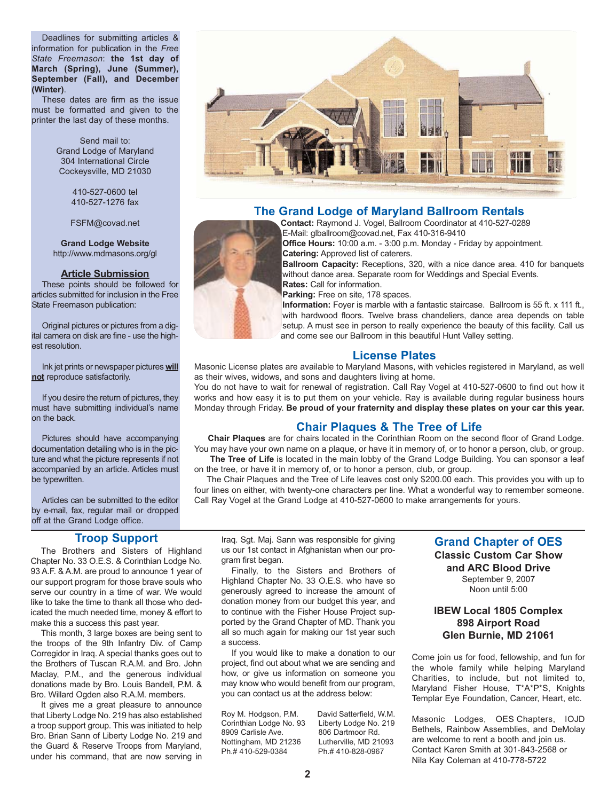Deadlines for submitting articles & information for publication in the *Free State Freemason*: **the 1st day of March (Spring), June (Summer), September (Fall), and December (Winter)**.

These dates are firm as the issue must be formatted and given to the printer the last day of these months.

> Send mail to: Grand Lodge of Maryland 304 International Circle Cockeysville, MD 21030

> > 410-527-0600 tel 410-527-1276 fax

FSFM@covad.net

**Grand Lodge Website** http://www.mdmasons.org/gl

#### **Article Submission**

These points should be followed for articles submitted for inclusion in the Free State Freemason publication:

Original pictures or pictures from a digital camera on disk are fine - use the highest resolution.

Ink jet prints or newspaper pictures **will not** reproduce satisfactorily.

If you desire the return of pictures, they must have submitting individual's name on the back.

Pictures should have accompanying documentation detailing who is in the picture and what the picture represents if not accompanied by an article. Articles must be typewritten.

Articles can be submitted to the editor by e-mail, fax, regular mail or dropped off at the Grand Lodge office.

#### **Troop Support**

The Brothers and Sisters of Highland Chapter No. 33 O.E.S. & Corinthian Lodge No. 93 A.F. & A.M. are proud to announce 1 year of our support program for those brave souls who serve our country in a time of war. We would like to take the time to thank all those who dedicated the much needed time, money & effort to make this a success this past year.

This month, 3 large boxes are being sent to the troops of the 9th Infantry Div. of Camp Corregidor in Iraq. A special thanks goes out to the Brothers of Tuscan R.A.M. and Bro. John Maclay, P.M., and the generous individual donations made by Bro. Louis Bandell, P.M. & Bro. Willard Ogden also R.A.M. members.

It gives me a great pleasure to announce that Liberty Lodge No. 219 has also established a troop support group. This was initiated to help Bro. Brian Sann of Liberty Lodge No. 219 and the Guard & Reserve Troops from Maryland, under his command, that are now serving in Iraq. Sgt. Maj. Sann was responsible for giving us our 1st contact in Afghanistan when our program first began.

Finally, to the Sisters and Brothers of Highland Chapter No. 33 O.E.S. who have so generously agreed to increase the amount of donation money from our budget this year, and to continue with the Fisher House Project supported by the Grand Chapter of MD. Thank you all so much again for making our 1st year such a success.

If you would like to make a donation to our project, find out about what we are sending and how, or give us information on someone you may know who would benefit from our program, you can contact us at the address below:

Roy M. Hodgson, P.M. David Satterfield, W.M. Corinthian Lodge No. 93 Liberty Lodge No. 219 8909 Carlisle Ave. 806 Dartmoor Rd. Nottingham, MD 21236 Lutherville, MD 21093<br>Ph.# 410-529-0384 Ph.# 410-828-0967 Ph.# 410-529-0384

### **Grand Chapter of OES**

**Classic Custom Car Show and ARC Blood Drive** September 9, 2007 Noon until 5:00

#### **IBEW Local 1805 Complex 898 Airport Road Glen Burnie, MD 21061**

Come join us for food, fellowship, and fun for the whole family while helping Maryland Charities, to include, but not limited to, Maryland Fisher House, T\*A\*P\*S, Knights Templar Eye Foundation, Cancer, Heart, etc.

Masonic Lodges, OES Chapters, IOJD Bethels, Rainbow Assemblies, and DeMolay are welcome to rent a booth and join us. Contact Karen Smith at 301-843-2568 or Nila Kay Coleman at 410-778-5722





### **The Grand Lodge of Maryland Ballroom Rentals**

**Contact:** Raymond J. Vogel, Ballroom Coordinator at 410-527-0289 E-Mail: glballroom@covad.net, Fax 410-316-9410

**Office Hours:** 10:00 a.m. - 3:00 p.m. Monday - Friday by appointment. **Catering:** Approved list of caterers.

**Ballroom Capacity:** Receptions, 320, with a nice dance area. 410 for banquets without dance area. Separate room for Weddings and Special Events. **Rates:** Call for information.

**Parking:** Free on site, 178 spaces.

**Information:** Foyer is marble with a fantastic staircase. Ballroom is 55 ft. x 111 ft., with hardwood floors. Twelve brass chandeliers, dance area depends on table setup. A must see in person to really experience the beauty of this facility. Call us and come see our Ballroom in this beautiful Hunt Valley setting.

#### **License Plates**

Masonic License plates are available to Maryland Masons, with vehicles registered in Maryland, as well as their wives, widows, and sons and daughters living at home.

You do not have to wait for renewal of registration. Call Ray Vogel at 410-527-0600 to find out how it works and how easy it is to put them on your vehicle. Ray is available during regular business hours Monday through Friday. **Be proud of your fraternity and display these plates on your car this year.**

### **Chair Plaques & The Tree of Life**

**Chair Plaques** are for chairs located in the Corinthian Room on the second floor of Grand Lodge. You may have your own name on a plaque, or have it in memory of, or to honor a person, club, or group.

The Tree of Life is located in the main lobby of the Grand Lodge Building. You can sponsor a leaf on the tree, or have it in memory of, or to honor a person, club, or group.

The Chair Plaques and the Tree of Life leaves cost only \$200.00 each. This provides you with up to four lines on either, with twenty-one characters per line. What a wonderful way to remember someone. Call Ray Vogel at the Grand Lodge at 410-527-0600 to make arrangements for yours.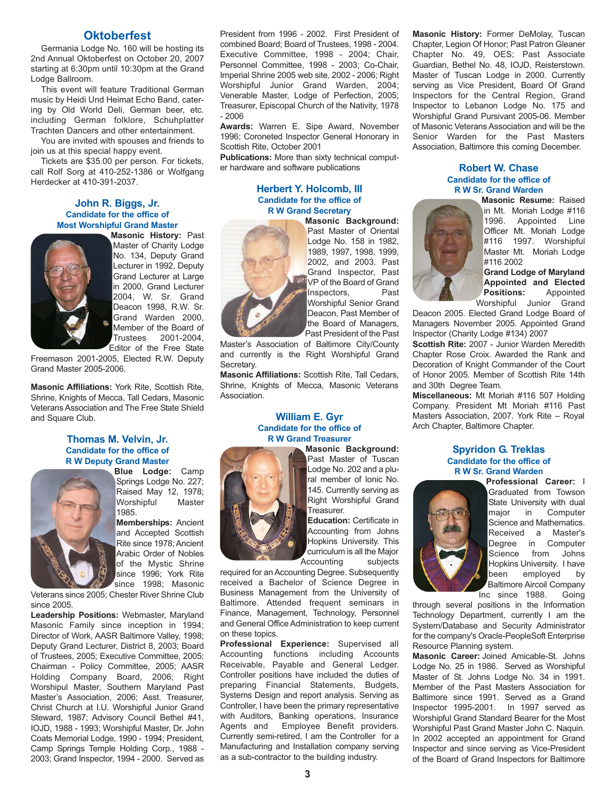#### **Oktoberfest**

Germania Lodge No. 160 will be hosting its 2nd Annual Oktoberfest on October 20, 2007 starting at 6:30pm until 10:30pm at the Grand Lodge Ballroom.

This event will feature Traditional German music by Heidi Und Heimat Echo Band, catering by Old World Deli, German beer, etc. including German folklore, Schuhplatter Trachten Dancers and other entertainment.

You are invited with spouses and friends to join us at this special happy event.

Tickets are \$35.00 per person. For tickets, call Rolf Sorg at 410-252-1386 or Wolfgang Herdecker at 410-391-2037.

#### **John R. Biggs, Jr. Candidate for the office of Most Worshipful Grand Master**



**Masonic History:** Past Master of Charity Lodge No. 134, Deputy Grand Lecturer in 1992, Deputy Grand Lecturer at Large in 2000, Grand Lecturer 2004, W. Sr. Grand Deacon 1998, R.W. Sr. Grand Warden 2000, Member of the Board of<br>Trustees 2001-2004. 2001-2004. Editor of the Free State

Freemason 2001-2005, Elected R.W. Deputy Grand Master 2005-2006.

**Masonic Affiliations:** York Rite, Scottish Rite, Shrine, Knights of Mecca, Tall Cedars, Masonic Veterans Association and The Free State Shield and Square Club.

#### **Thomas M. Velvin, Jr. Candidate for the office of R W Deputy Grand Master**



**Blue Lodge:** Camp Springs Lodge No. 227; Raised May 12, 1978;<br>Worshipful Master Worshipful 1985.

**Memberships:** Ancient and Accepted Scottish Rite since 1978; Ancient Arabic Order of Nobles of the Mystic Shrine since 1996; York Rite since 1998; Masonic

Veterans since 2005; Chester River Shrine Club since 2005.

**Leadership Positions:** Webmaster, Maryland Masonic Family since inception in 1994; Director of Work, AASR Baltimore Valley, 1998; Deputy Grand Lecturer, District 8, 2003; Board of Trustees, 2005; Executive Committee, 2005; Chairman - Policy Committee, 2005; AASR Holding Company Board, 2006; Right Worshipul Master, Southern Maryland Past Master's Association, 2006; Asst. Treasurer, Christ Church at I.U. Worshipful Junior Grand Steward, 1987; Advisory Council Bethel #41, IOJD, 1988 - 1993; Worshipful Master, Dr. John Coats Memorial Lodge, 1990 - 1994; President, Camp Springs Temple Holding Corp., 1988 - 2003; Grand Inspector, 1994 - 2000. Served as President from 1996 - 2002. First President of combined Board; Board of Trustees, 1998 - 2004. Executive Committee, 1998 - 2004; Chair, Personnel Committee, 1998 - 2003; Co-Chair, Imperial Shrine 2005 web site, 2002 - 2006; Right Worshipful Junior Grand Warden, 2004; Venerable Master, Lodge of Perfection, 2005; Treasurer, Episcopal Church of the Nativity, 1978 - 2006

**Awards:** Warren E. Sipe Award, November 1996; Coroneted Inspector General Honorary in Scottish Rite, October 2001

**Publications:** More than sixty technical computer hardware and software publications

#### **Herbert Y. Holcomb, III Candidate for the office of R W Grand Secretary**



**Masonic Background:** Past Master of Oriental Lodge No. 158 in 1982, 1989, 1997, 1998, 1999, 2002, and 2003. Past Grand Inspector, Past VP of the Board of Grand Inspectors, Past Worshipful Senior Grand Deacon, Past Member of the Board of Managers, Past President of the Past

Master's Association of Baltimore City/County and currently is the Right Worshipful Grand Secretary.

**Masonic Affiliations:** Scottish Rite, Tall Cedars, Shrine, Knights of Mecca, Masonic Veterans Association.

#### **William E. Gyr Candidate for the office of R W Grand Treasurer**



**Masonic Background:** Past Master of Tuscan Lodge No. 202 and a plural member of Ionic No. 145. Currently serving as Right Worshipful Grand Treasurer.

**Education:** Certificate in Accounting from Johns Hopkins University. This curriculum is all the Major Accounting subjects

required for an Accounting Degree. Subsequently received a Bachelor of Science Degree in Business Management from the University of Baltimore. Attended frequent seminars in Finance, Management, Technology, Personnel and General Office Administration to keep current on these topics.

**Professional Experience:** Supervised all Accounting functions including Accounts Receivable, Payable and General Ledger. Controller positions have included the duties of preparing Financial Statements, Budgets, Systems Design and report analysis. Serving as Controller, I have been the primary representative with Auditors, Banking operations, Insurance Agents and Employee Benefit providers. Currently semi-retired, I am the Controller for a Manufacturing and Installation company serving as a sub-contractor to the building industry.

**Masonic History:** Former DeMolay, Tuscan Chapter, Legion Of Honor; Past Patron Gleaner Chapter No. 49, OES; Past Associate Guardian, Bethel No. 48, IOJD, Reisterstown. Master of Tuscan Lodge in 2000. Currently serving as Vice President, Board Of Grand Inspectors for the Central Region, Grand Inspector to Lebanon Lodge No. 175 and Worshipful Grand Pursivant 2005-06. Member of Masonic Veterans Association and will be the Senior Warden for the Past Masters Association, Baltimore this coming December.

#### **Robert W. Chase Candidate for the office of R W Sr. Grand Warden**



**Masonic Resume:** Raised in Mt. Moriah Lodge #116 1996. Appointed Line Officer Mt. Moriah Lodge #116 1997. Worshipful Master Mt. Moriah Lodge #116 2002

**Grand Lodge of Maryland Appointed and Elected Positions:** Appointed Worshipful Junior Grand

Deacon 2005. Elected Grand Lodge Board of Managers November 2005. Appointed Grand Inspector (Charity Lodge #134) 2007

**Scottish Rite:** 2007 - Junior Warden Meredith Chapter Rose Croix. Awarded the Rank and Decoration of Knight Commander of the Court of Honor 2005. Member of Scottish Rite 14th and 30th Degree Team.

**Miscellaneous:** Mt Moriah #116 507 Holding Company. President Mt Moriah #116 Past Masters Association, 2007. York Rite – Royal Arch Chapter, Baltimore Chapter.

#### **Spyridon G. Treklas Candidate for the office of R W Sr. Grand Warden**



**Professional Career:** I Graduated from Towson State University with dual major in Computer Science and Mathematics. Received a Master's Degree in Computer Science from Johns Hopkins University. I have been employed by Baltimore Aircoil Company Inc since 1988. Going

through several positions in the Information Technology Department, currently I am the System/Database and Security Administrator for the company's Oracle-PeopleSoft Enterprise Resource Planning system.

**Masonic Career:** Joined Amicable-St. Johns Lodge No. 25 in 1986. Served as Worshipful Master of St. Johns Lodge No. 34 in 1991. Member of the Past Masters Association for Baltimore since 1991. Served as a Grand Inspector 1995-2001. In 1997 served as Worshipful Grand Standard Bearer for the Most Worshipful Past Grand Master John C. Naquin. In 2002 accepted an appointment for Grand Inspector and since serving as Vice-President of the Board of Grand Inspectors for Baltimore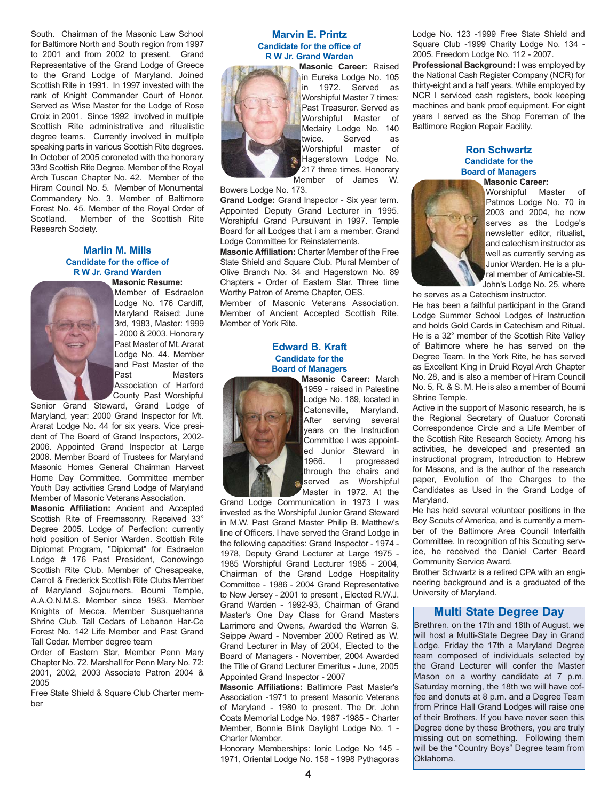South. Chairman of the Masonic Law School for Baltimore North and South region from 1997 to 2001 and from 2002 to present. Grand Representative of the Grand Lodge of Greece to the Grand Lodge of Maryland. Joined Scottish Rite in 1991. In 1997 invested with the rank of Knight Commander Court of Honor. Served as Wise Master for the Lodge of Rose Croix in 2001. Since 1992 involved in multiple Scottish Rite administrative and ritualistic degree teams. Currently involved in multiple speaking parts in various Scottish Rite degrees. In October of 2005 coroneted with the honorary 33rd Scottish Rite Degree. Member of the Royal Arch Tuscan Chapter No. 42. Member of the Hiram Council No. 5. Member of Monumental Commandery No. 3. Member of Baltimore Forest No. 45. Member of the Royal Order of Scotland. Member of the Scottish Rite Research Society.

#### **Marlin M. Mills Candidate for the office of R W Jr. Grand Warden**



**Masonic Resume:** Member of Esdraelon Lodge No. 176 Cardiff, Maryland Raised: June 3rd, 1983, Master: 1999 - 2000 & 2003. Honorary Past Master of Mt. Ararat Lodge No. 44. Member and Past Master of the Past Masters Association of Harford County Past Worshipful

Senior Grand Steward, Grand Lodge of Maryland, year: 2000 Grand Inspector for Mt. Ararat Lodge No. 44 for six years. Vice president of The Board of Grand Inspectors, 2002- 2006. Appointed Grand Inspector at Large 2006. Member Board of Trustees for Maryland Masonic Homes General Chairman Harvest Home Day Committee. Committee member Youth Day activities Grand Lodge of Maryland Member of Masonic Veterans Association.

**Masonic Affiliation:** Ancient and Accepted Scottish Rite of Freemasonry. Received 33° Degree 2005. Lodge of Perfection: currently hold position of Senior Warden. Scottish Rite Diplomat Program, "Diplomat" for Esdraelon Lodge # 176 Past President, Conowingo Scottish Rite Club. Member of Chesapeake, Carroll & Frederick Scottish Rite Clubs Member of Maryland Sojourners. Boumi Temple, A.A.O.N.M.S. Member since 1983. Member Knights of Mecca. Member Susquehanna Shrine Club. Tall Cedars of Lebanon Har-Ce Forest No. 142 Life Member and Past Grand Tall Cedar. Member degree team

Order of Eastern Star, Member Penn Mary Chapter No. 72. Marshall for Penn Mary No. 72: 2001, 2002, 2003 Associate Patron 2004 & 2005

Free State Shield & Square Club Charter member

#### **Marvin E. Printz Candidate for the office of R W Jr. Grand Warden**



**Masonic Career:** Raised in Eureka Lodge No. 105 in 1972. Served as Worshipful Master 7 times; Past Treasurer. Served as Worshipful Master of Medairy Lodge No. 140 twice. Served as Worshipful master of Hagerstown Lodge No. 217 three times. Honorary Member of James W.

Bowers Lodge No. 173.

**Grand Lodge:** Grand Inspector - Six year term. Appointed Deputy Grand Lecturer in 1995. Worshipful Grand Pursuivant in 1997. Temple Board for all Lodges that i am a member. Grand Lodge Committee for Reinstatements.

**Masonic Affiliation:** Charter Member of the Free State Shield and Square Club. Plural Member of Olive Branch No. 34 and Hagerstown No. 89 Chapters - Order of Eastern Star. Three time Worthy Patron of Areme Chapter, OES.

Member of Masonic Veterans Association. Member of Ancient Accepted Scottish Rite. Member of York Rite.

#### **Edward B. Kraft Candidate for the Board of Managers**



**Masonic Career:** March 1959 - raised in Palestine Lodge No. 189, located in Catonsville, Maryland. After serving several years on the Instruction Committee I was appointed Junior Steward in 1966. I progressed through the chairs and served as Worshipful Master in 1972. At the

Grand Lodge Communication in 1973 I was invested as the Worshipful Junior Grand Steward in M.W. Past Grand Master Philip B. Matthew's line of Officers. I have served the Grand Lodge in the following capacities: Grand Inspector - 1974 - 1978, Deputy Grand Lecturer at Large 1975 - 1985 Worshipful Grand Lecturer 1985 - 2004, Chairman of the Grand Lodge Hospitality Committee - 1986 - 2004 Grand Representative to New Jersey - 2001 to present , Elected R.W.J. Grand Warden - 1992-93, Chairman of Grand Master's One Day Class for Grand Masters Larrimore and Owens, Awarded the Warren S. Seippe Award - November 2000 Retired as W. Grand Lecturer in May of 2004, Elected to the Board of Managers - November, 2004 Awarded the Title of Grand Lecturer Emeritus - June, 2005 Appointed Grand Inspector - 2007

**Masonic Affiliations:** Baltimore Past Master's Association -1971 to present Masonic Veterans of Maryland - 1980 to present. The Dr. John Coats Memorial Lodge No. 1987 -1985 - Charter Member, Bonnie Blink Daylight Lodge No. 1 - Charter Member.

Honorary Memberships: Ionic Lodge No 145 - 1971, Oriental Lodge No. 158 - 1998 Pythagoras Lodge No. 123 -1999 Free State Shield and Square Club -1999 Charity Lodge No. 134 - 2005. Freedom Lodge No. 112 - 2007.

**Professional Background:** I was employed by the National Cash Register Company (NCR) for thirty-eight and a half years. While employed by NCR I serviced cash registers, book keeping machines and bank proof equipment. For eight years I served as the Shop Foreman of the Baltimore Region Repair Facility.

#### **Ron Schwartz Candidate for the Board of Managers**



**Masonic Career:** Worshipful Master of Patmos Lodge No. 70 in 2003 and 2004, he now serves as the Lodge's newsletter editor, ritualist, and catechism instructor as well as currently serving as Junior Warden. He is a plural member of Amicable-St. John's Lodge No. 25, where

he serves as a Catechism instructor. He has been a faithful participant in the Grand Lodge Summer School Lodges of Instruction and holds Gold Cards in Catechism and Ritual. He is a 32° member of the Scottish Rite Valley of Baltimore where he has served on the Degree Team. In the York Rite, he has served as Excellent King in Druid Royal Arch Chapter No. 28, and is also a member of Hiram Council No. 5, R. & S. M. He is also a member of Boumi Shrine Temple.

Active in the support of Masonic research, he is the Regional Secretary of Quatuor Coronati Correspondence Circle and a Life Member of the Scottish Rite Research Society. Among his activities, he developed and presented an instructional program, Introduction to Hebrew for Masons, and is the author of the research paper, Evolution of the Charges to the Candidates as Used in the Grand Lodge of Maryland.

He has held several volunteer positions in the Boy Scouts of America, and is currently a member of the Baltimore Area Council Interfaith Committee. In recognition of his Scouting service, he received the Daniel Carter Beard Community Service Award.

Brother Schwartz is a retired CPA with an engineering background and is a graduated of the University of Maryland.

#### **Multi State Degree Day**

Brethren, on the 17th and 18th of August, we will host a Multi-State Degree Day in Grand Lodge. Friday the 17th a Maryland Degree team composed of individuals selected by the Grand Lecturer will confer the Master Mason on a worthy candidate at 7 p.m. Saturday morning, the 18th we will have coffee and donuts at 8 p.m. and a Degree Team from Prince Hall Grand Lodges will raise one of their Brothers. If you have never seen this Degree done by these Brothers, you are truly missing out on something. Following them will be the "Country Boys" Degree team from Oklahoma.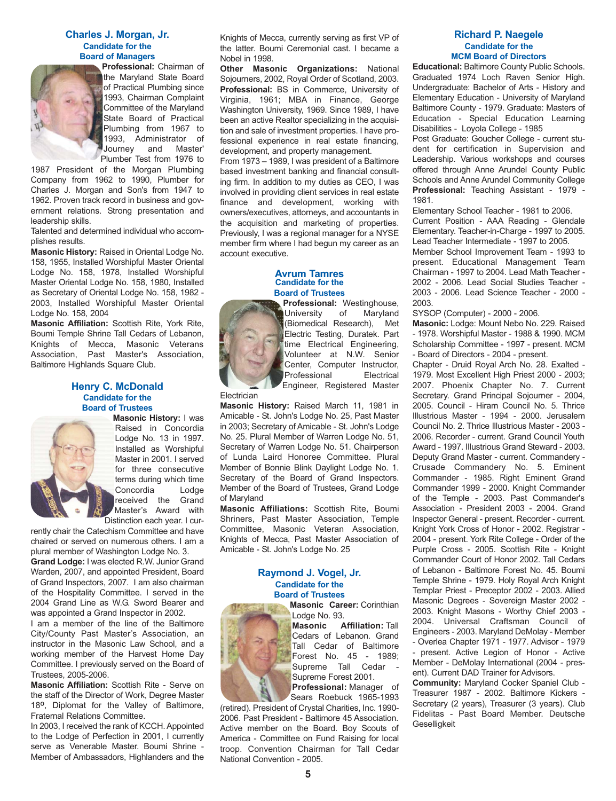#### **Charles J. Morgan, Jr. Candidate for the Board of Managers**



**Professional:** Chairman of the Maryland State Board of Practical Plumbing since 1993, Chairman Complaint Committee of the Maryland State Board of Practical Plumbing from 1967 to 1993, Administrator of Journey and Master' Plumber Test from 1976 to

1987 President of the Morgan Plumbing Company from 1962 to 1990, Plumber for Charles J. Morgan and Son's from 1947 to 1962. Proven track record in business and government relations. Strong presentation and leadership skills.

Talented and determined individual who accomplishes results.

**Masonic History:** Raised in Oriental Lodge No. 158, 1955, Installed Worshipful Master Oriental Lodge No. 158, 1978, Installed Worshipful Master Oriental Lodge No. 158, 1980, Installed as Secretary of Oriental Lodge No. 158, 1982 - 2003, Installed Worshipful Master Oriental Lodge No. 158, 2004

**Masonic Affiliation:** Scottish Rite, York Rite, Boumi Temple Shrine Tall Cedars of Lebanon, Knights of Mecca, Masonic Veterans Association, Past Master's Association, Baltimore Highlands Square Club.

#### **Henry C. McDonald Candidate for the Board of Trustees**



**Masonic History:** I was Raised in Concordia Lodge No. 13 in 1997. Installed as Worshipful Master in 2001. I served for three consecutive terms during which time Concordia Lodge received the Grand Master's Award with Distinction each year. I cur-

rently chair the Catechism Committee and have chaired or served on numerous others. I am a plural member of Washington Lodge No. 3.

**Grand Lodge:** I was elected R.W. Junior Grand Warden, 2007, and appointed President, Board of Grand Inspectors, 2007. I am also chairman of the Hospitality Committee. I served in the 2004 Grand Line as W.G. Sword Bearer and was appointed a Grand Inspector in 2002.

I am a member of the line of the Baltimore City/County Past Master's Association, an instructor in the Masonic Law School, and a working member of the Harvest Home Day Committee. I previously served on the Board of Trustees, 2005-2006.

**Masonic Affiliation:** Scottish Rite - Serve on the staff of the Director of Work, Degree Master 18º, Diplomat for the Valley of Baltimore, Fraternal Relations Committee.

In 2003, I received the rank of KCCH. Appointed to the Lodge of Perfection in 2001, I currently serve as Venerable Master. Boumi Shrine - Member of Ambassadors, Highlanders and the Knights of Mecca, currently serving as first VP of the latter. Boumi Ceremonial cast. I became a Nobel in 1998.

**Other Masonic Organizations:** National Sojourners, 2002, Royal Order of Scotland, 2003. **Professional:** BS in Commerce, University of Virginia, 1961; MBA in Finance, George Washington University, 1969. Since 1989, I have been an active Realtor specializing in the acquisition and sale of investment properties. I have professional experience in real estate financing, development, and property management.

From 1973 – 1989, I was president of a Baltimore based investment banking and financial consulting firm. In addition to my duties as CEO, I was involved in providing client services in real estate finance and development, working with owners/executives, attorneys, and accountants in the acquisition and marketing of properties. Previously, I was a regional manager for a NYSE member firm where I had begun my career as an account executive.

#### **Avrum Tamres Candidate for the Board of Trustees**

**Professional:** Westinghouse, University of Maryland (Biomedical Research), Met Electric Testing, Duratek. Part time Electrical Engineering, Volunteer at N.W. Senior Center, Computer Instructor, Professional Electrical Engineer, Registered Master

**Masonic History:** Raised March 11, 1981 in Amicable - St. John's Lodge No. 25, Past Master in 2003; Secretary of Amicable - St. John's Lodge No. 25. Plural Member of Warren Lodge No. 51, Secretary of Warren Lodge No. 51. Chairperson of Lunda Laird Honoree Committee. Plural Member of Bonnie Blink Daylight Lodge No. 1. Secretary of the Board of Grand Inspectors. Member of the Board of Trustees, Grand Lodge of Maryland

**Electrician** 

**Masonic Affiliations:** Scottish Rite, Boumi Shriners, Past Master Association, Temple Committee, Masonic Veteran Association, Knights of Mecca, Past Master Association of Amicable - St. John's Lodge No. 25

#### **Raymond J. Vogel, Jr. Candidate for the Board of Trustees**

**Masonic Career:** Corinthian Lodge No. 93.

**Masonic Affiliation:** Tall Cedars of Lebanon. Grand Tall Cedar of Baltimore Forest No. 45 - 1989; Supreme Tall Cedar - Supreme Forest 2001.

**Professional:** Manager of Sears Roebuck 1965-1993

(retired). President of Crystal Charities, Inc. 1990- 2006. Past President - Baltimore 45 Association. Active member on the Board. Boy Scouts of America - Committee on Fund Raising for local troop. Convention Chairman for Tall Cedar National Convention - 2005.

#### **Richard P. Naegele Candidate for the MCM Board of Directors**

**Educational:** Baltimore County Public Schools. Graduated 1974 Loch Raven Senior High. Undergraduate: Bachelor of Arts - History and Elementary Education - University of Maryland Baltimore County - 1979. Graduate: Masters of Education - Special Education Learning Disabilities - Loyola College - 1985

Post Graduate: Goucher College - current student for certification in Supervision and Leadership. Various workshops and courses offered through Anne Arundel County Public Schools and Anne Arundel Community College **Professional:** Teaching Assistant - 1979 - 1981.

Elementary School Teacher - 1981 to 2006. Current Position - AAA Reading - Glendale Elementary. Teacher-in-Charge - 1997 to 2005. Lead Teacher Intermediate - 1997 to 2005. Member School Improvement Team - 1993 to present. Educational Management Team Chairman - 1997 to 2004. Lead Math Teacher - 2002 - 2006. Lead Social Studies Teacher - 2003 - 2006. Lead Science Teacher - 2000 - 2003.

SYSOP (Computer) - 2000 - 2006.

**Masonic:** Lodge: Mount Nebo No. 229. Raised - 1978. Worshipful Master - 1988 & 1990. MCM Scholarship Committee - 1997 - present. MCM - Board of Directors - 2004 - present.

Chapter - Druid Royal Arch No. 28. Exalted - 1979. Most Excellent High Priest 2000 - 2003; 2007. Phoenix Chapter No. 7. Current Secretary. Grand Principal Sojourner - 2004, 2005. Council - Hiram Council No. 5. Thrice Illustrious Master - 1994 - 2000. Jerusalem Council No. 2. Thrice Illustrious Master - 2003 - 2006. Recorder - current. Grand Council Youth Award - 1997. Illustrious Grand Steward - 2003. Deputy Grand Master - current. Commandery - Crusade Commandery No. 5. Eminent Commander - 1985. Right Eminent Grand Commander 1999 - 2000. Knight Commander of the Temple - 2003. Past Commander's Association - President 2003 - 2004. Grand Inspector General - present. Recorder - current. Knight York Cross of Honor - 2002. Registrar - 2004 - present. York Rite College - Order of the Purple Cross - 2005. Scottish Rite - Knight Commander Court of Honor 2002. Tall Cedars of Lebanon - Baltimore Forest No. 45. Boumi Temple Shrine - 1979. Holy Royal Arch Knight Templar Priest - Preceptor 2002 - 2003. Allied Masonic Degrees - Sovereign Master 2002 - 2003. Knight Masons - Worthy Chief 2003 - 2004. Universal Craftsman Council of Engineers - 2003. Maryland DeMolay - Member - Overlea Chapter 1971 - 1977. Advisor - 1979 - present. Active Legion of Honor - Active Member - DeMolay International (2004 - present). Current DAD Trainer for Advisors.

**Community:** Maryland Cocker Spaniel Club - Treasurer 1987 - 2002. Baltimore Kickers - Secretary (2 years), Treasurer (3 years). Club Fidelitas - Past Board Member. Deutsche **Geselligkeit**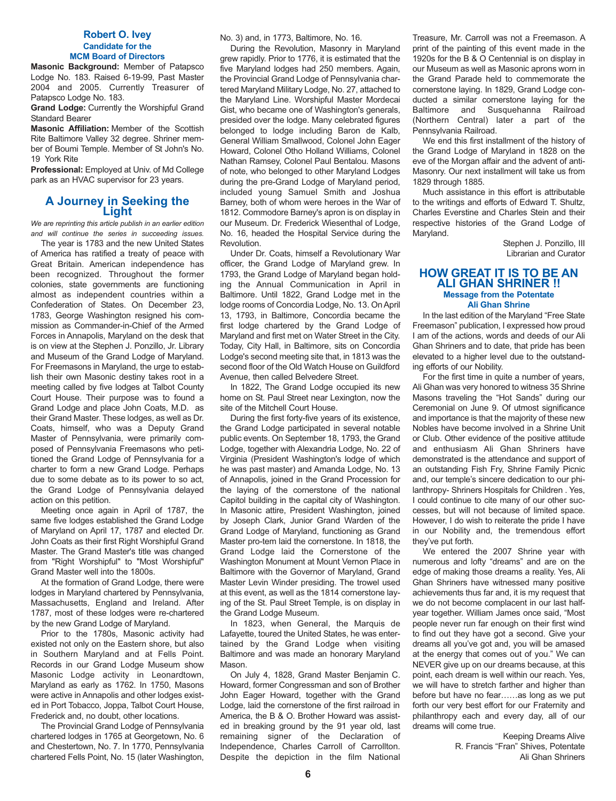#### **Robert O. Ivey Candidate for the MCM Board of Directors**

**Masonic Background:** Member of Patapsco Lodge No. 183. Raised 6-19-99, Past Master 2004 and 2005. Currently Treasurer of Patapsco Lodge No. 183.

**Grand Lodge:** Currently the Worshipful Grand Standard Bearer

**Masonic Affiliation:** Member of the Scottish Rite Baltimore Valley 32 degree. Shriner member of Boumi Temple. Member of St John's No. 19 York Rite

**Professional:** Employed at Univ. of Md College park as an HVAC supervisor for 23 years.

## **A Journey in Seeking the Light**

*We are reprinting this article publish in an earlier edition and will continue the series in succeeding issues.*

The year is 1783 and the new United States of America has ratified a treaty of peace with Great Britain. American independence has been recognized. Throughout the former colonies, state governments are functioning almost as independent countries within a Confederation of States. On December 23, 1783, George Washington resigned his commission as Commander-in-Chief of the Armed Forces in Annapolis, Maryland on the desk that is on view at the Stephen J. Ponzillo, Jr. Library and Museum of the Grand Lodge of Maryland. For Freemasons in Maryland, the urge to establish their own Masonic destiny takes root in a meeting called by five lodges at Talbot County Court House. Their purpose was to found a Grand Lodge and place John Coats, M.D. as their Grand Master. These lodges, as well as Dr. Coats, himself, who was a Deputy Grand Master of Pennsylvania, were primarily composed of Pennsylvania Freemasons who petitioned the Grand Lodge of Pennsylvania for a charter to form a new Grand Lodge. Perhaps due to some debate as to its power to so act, the Grand Lodge of Pennsylvania delayed action on this petition.

Meeting once again in April of 1787, the same five lodges established the Grand Lodge of Maryland on April 17, 1787 and elected Dr. John Coats as their first Right Worshipful Grand Master. The Grand Master's title was changed from "Right Worshipful" to "Most Worshipful" Grand Master well into the 1800s.

At the formation of Grand Lodge, there were lodges in Maryland chartered by Pennsylvania, Massachusetts, England and Ireland. After 1787, most of these lodges were re-chartered by the new Grand Lodge of Maryland.

Prior to the 1780s, Masonic activity had existed not only on the Eastern shore, but also in Southern Maryland and at Fells Point. Records in our Grand Lodge Museum show Masonic Lodge activity in Leonardtown, Maryland as early as 1762. In 1750, Masons were active in Annapolis and other lodges existed in Port Tobacco, Joppa, Talbot Court House, Frederick and, no doubt, other locations.

The Provincial Grand Lodge of Pennsylvania chartered lodges in 1765 at Georgetown, No. 6 and Chestertown, No. 7. In 1770, Pennsylvania chartered Fells Point, No. 15 (later Washington, No. 3) and, in 1773, Baltimore, No. 16.

During the Revolution, Masonry in Maryland grew rapidly. Prior to 1776, it is estimated that the five Maryland lodges had 250 members. Again, the Provincial Grand Lodge of Pennsylvania chartered Maryland Military Lodge, No. 27, attached to the Maryland Line. Worshipful Master Mordecai Gist, who became one of Washington's generals, presided over the lodge. Many celebrated figures belonged to lodge including Baron de Kalb, General William Smallwood, Colonel John Eager Howard, Colonel Otho Holland Williams, Colonel Nathan Ramsey, Colonel Paul Bentalou. Masons of note, who belonged to other Maryland Lodges during the pre-Grand Lodge of Maryland period, included young Samuel Smith and Joshua Barney, both of whom were heroes in the War of 1812. Commodore Barney's apron is on display in our Museum. Dr. Frederick Wiesenthal of Lodge, No. 16, headed the Hospital Service during the Revolution.

Under Dr. Coats, himself a Revolutionary War officer, the Grand Lodge of Maryland grew. In 1793, the Grand Lodge of Maryland began holding the Annual Communication in April in Baltimore. Until 1822, Grand Lodge met in the lodge rooms of Concordia Lodge, No. 13. On April 13, 1793, in Baltimore, Concordia became the first lodge chartered by the Grand Lodge of Maryland and first met on Water Street in the City. Today, City Hall, in Baltimore, sits on Concordia Lodge's second meeting site that, in 1813 was the second floor of the Old Watch House on Guildford Avenue, then called Belvedere Street.

In 1822, The Grand Lodge occupied its new home on St. Paul Street near Lexington, now the site of the Mitchell Court House.

During the first forty-five years of its existence, the Grand Lodge participated in several notable public events. On September 18, 1793, the Grand Lodge, together with Alexandria Lodge, No. 22 of Virginia (President Washington's lodge of which he was past master) and Amanda Lodge, No. 13 of Annapolis, joined in the Grand Procession for the laying of the cornerstone of the national Capitol building in the capital city of Washington. In Masonic attire, President Washington, joined by Joseph Clark, Junior Grand Warden of the Grand Lodge of Maryland, functioning as Grand Master pro-tem laid the cornerstone. In 1818, the Grand Lodge laid the Cornerstone of the Washington Monument at Mount Vernon Place in Baltimore with the Governor of Maryland, Grand Master Levin Winder presiding. The trowel used at this event, as well as the 1814 cornerstone laying of the St. Paul Street Temple, is on display in the Grand Lodge Museum.

In 1823, when General, the Marquis de Lafayette, toured the United States, he was entertained by the Grand Lodge when visiting Baltimore and was made an honorary Maryland Mason.

On July 4, 1828, Grand Master Benjamin C. Howard, former Congressman and son of Brother John Eager Howard, together with the Grand Lodge, laid the cornerstone of the first railroad in America, the B & O. Brother Howard was assisted in breaking ground by the 91 year old, last remaining signer of the Declaration of Independence, Charles Carroll of Carrollton. Despite the depiction in the film National

Treasure, Mr. Carroll was not a Freemason. A print of the painting of this event made in the 1920s for the B & O Centennial is on display in our Museum as well as Masonic aprons worn in the Grand Parade held to commemorate the cornerstone laying. In 1829, Grand Lodge conducted a similar cornerstone laying for the Baltimore and Susquehanna Railroad (Northern Central) later a part of the Pennsylvania Railroad.

We end this first installment of the history of the Grand Lodge of Maryland in 1828 on the eve of the Morgan affair and the advent of anti-Masonry. Our next installment will take us from 1829 through 1885.

Much assistance in this effort is attributable to the writings and efforts of Edward T. Shultz, Charles Everstine and Charles Stein and their respective histories of the Grand Lodge of Maryland.

> Stephen J. Ponzillo, III Librarian and Curator

#### **HOW GREAT IT IS TO BE AN ALI GHAN SHRINER !! Message from the Potentate Ali Ghan Shrine**

In the last edition of the Maryland "Free State Freemason" publication, I expressed how proud I am of the actions, words and deeds of our Ali Ghan Shriners and to date, that pride has been elevated to a higher level due to the outstanding efforts of our Nobility.

For the first time in quite a number of years, Ali Ghan was very honored to witness 35 Shrine Masons traveling the "Hot Sands" during our Ceremonial on June 9. Of utmost significance and importance is that the majority of these new Nobles have become involved in a Shrine Unit or Club. Other evidence of the positive attitude and enthusiasm Ali Ghan Shriners have demonstrated is the attendance and support of an outstanding Fish Fry, Shrine Family Picnic and, our temple's sincere dedication to our philanthropy- Shriners Hospitals for Children . Yes, I could continue to cite many of our other successes, but will not because of limited space. However, I do wish to reiterate the pride I have in our Nobility and, the tremendous effort they've put forth.

We entered the 2007 Shrine year with numerous and lofty "dreams" and are on the edge of making those dreams a reality. Yes, Ali Ghan Shriners have witnessed many positive achievements thus far and, it is my request that we do not become complacent in our last halfyear together. William James once said, "Most people never run far enough on their first wind to find out they have got a second. Give your dreams all you've got and, you will be amased at the energy that comes out of you." We can NEVER give up on our dreams because, at this point, each dream is well within our reach. Yes, we will have to stretch farther and higher than before but have no fear……as long as we put forth our very best effort for our Fraternity and philanthropy each and every day, all of our dreams will come true.

> Keeping Dreams Alive R. Francis "Fran" Shives, Potentate Ali Ghan Shriners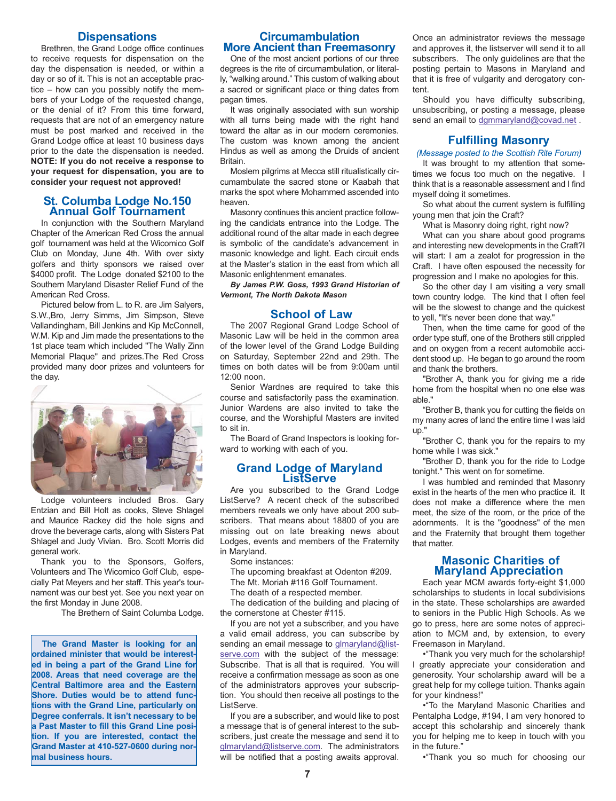#### **Dispensations**

Brethren, the Grand Lodge office continues to receive requests for dispensation on the day the dispensation is needed, or within a day or so of it. This is not an acceptable practice – how can you possibly notify the members of your Lodge of the requested change, or the denial of it? From this time forward, requests that are not of an emergency nature must be post marked and received in the Grand Lodge office at least 10 business days prior to the date the dispensation is needed. **NOTE: If you do not receive a response to your request for dispensation, you are to consider your request not approved!**

#### **St. Columba Lodge No.150 Annual Golf Tournament**

In conjunction with the Southern Maryland Chapter of the American Red Cross the annual golf tournament was held at the Wicomico Golf Club on Monday, June 4th. With over sixty golfers and thirty sponsors we raised over \$4000 profit. The Lodge donated \$2100 to the Southern Maryland Disaster Relief Fund of the American Red Cross.

Pictured below from L. to R. are Jim Salyers, S.W.,Bro, Jerry Simms, Jim Simpson, Steve Vallandingham, Bill Jenkins and Kip McConnell, W.M. Kip and Jim made the presentations to the 1st place team which included "The Wally Zinn Memorial Plaque" and prizes.The Red Cross provided many door prizes and volunteers for the day.



Lodge volunteers included Bros. Gary Entzian and Bill Holt as cooks, Steve Shlagel and Maurice Rackey did the hole signs and drove the beverage carts, along with Sisters Pat Shlagel and Judy Vivian. Bro. Scott Morris did general work.

Thank you to the Sponsors, Golfers, Volunteers and The Wicomico Golf Club, especially Pat Meyers and her staff. This year's tournament was our best yet. See you next year on the first Monday in June 2008.

The Brethern of Saint Columba Lodge.

**The Grand Master is looking for an ordained minister that would be interested in being a part of the Grand Line for 2008. Areas that need coverage are the Central Baltimore area and the Eastern Shore. Duties would be to attend functions with the Grand Line, particularly on Degree conferrals. It isn't necessary to be a Past Master to fill this Grand Line position. If you are interested, contact the Grand Master at 410-527-0600 during normal business hours.** 

#### **Circumambulation More Ancient than Freemasonry**

One of the most ancient portions of our three degrees is the rite of circumambulation, or literally, "walking around." This custom of walking about a sacred or significant place or thing dates from pagan times.

It was originally associated with sun worship with all turns being made with the right hand toward the altar as in our modern ceremonies. The custom was known among the ancient Hindus as well as among the Druids of ancient Britain.

Moslem pilgrims at Mecca still ritualistically circumambulate the sacred stone or Kaabah that marks the spot where Mohammed ascended into heaven.

Masonry continues this ancient practice following the candidats entrance into the Lodge. The additional round of the altar made in each degree is symbolic of the candidate's advancement in masonic knowledge and light. Each circuit ends at the Master's station in the east from which all Masonic enlightenment emanates.

*By James P.W. Goss, 1993 Grand Historian of Vermont, The North Dakota Mason*

#### **School of Law**

The 2007 Regional Grand Lodge School of Masonic Law will be held in the common area of the lower level of the Grand Lodge Building on Saturday, September 22nd and 29th. The times on both dates will be from 9:00am until 12:00 noon.

Senior Wardnes are required to take this course and satisfactorily pass the examination. Junior Wardens are also invited to take the course, and the Worshipful Masters are invited to sit in.

The Board of Grand Inspectors is looking forward to working with each of you.

### **Grand Lodge of Maryland ListServe**

Are you subscribed to the Grand Lodge ListServe? A recent check of the subscribed members reveals we only have about 200 subscribers. That means about 18800 of you are missing out on late breaking news about Lodges, events and members of the Fraternity in Maryland.

Some instances:

The upcoming breakfast at Odenton #209.

The Mt. Moriah #116 Golf Tournament.

The death of a respected member.

The dedication of the building and placing of the cornerstone at Chester #115.

If you are not yet a subscriber, and you have a valid email address, you can subscribe by sending an email message to glmaryland@listserve.com with the subject of the message: Subscribe. That is all that is required. You will receive a confirmation message as soon as one of the administrators approves your subscription. You should then receive all postings to the ListServe.

If you are a subscriber, and would like to post a message that is of general interest to the subscribers, just create the message and send it to glmaryland@listserve.com. The administrators will be notified that a posting awaits approval.

Once an administrator reviews the message and approves it, the listserver will send it to all subscribers. The only guidelines are that the posting pertain to Masons in Maryland and that it is free of vulgarity and derogatory content.

Should you have difficulty subscribing, unsubscribing, or posting a message, please send an email to dgmmaryland@covad.net.

#### **Fulfilling Masonry**

*(Message posted to the Scottish Rite Forum)*

It was brought to my attention that sometimes we focus too much on the negative. I think that is a reasonable assessment and I find myself doing it sometimes.

So what about the current system is fulfilling young men that join the Craft?

What is Masonry doing right, right now?

What can you share about good programs and interesting new developments in the Craft?I will start: I am a zealot for progression in the Craft. I have often espoused the necessity for progression and I make no apologies for this.

So the other day I am visiting a very small town country lodge. The kind that I often feel will be the slowest to change and the quickest to yell, "It's never been done that way."

Then, when the time came for good of the order type stuff, one of the Brothers still crippled and on oxygen from a recent automobile accident stood up. He began to go around the room and thank the brothers.

"Brother A, thank you for giving me a ride home from the hospital when no one else was able."

"Brother B, thank you for cutting the fields on my many acres of land the entire time I was laid up."

"Brother C, thank you for the repairs to my home while I was sick."

"Brother D, thank you for the ride to Lodge tonight." This went on for sometime.

I was humbled and reminded that Masonry exist in the hearts of the men who practice it. It does not make a difference where the men meet, the size of the room, or the price of the adornments. It is the "goodness" of the men and the Fraternity that brought them together that matter.

#### **Masonic Charities of Maryland Appreciation**

Each year MCM awards forty-eight \$1,000 scholarships to students in local subdivisions in the state. These scholarships are awarded to seniors in the Public High Schools. As we go to press, here are some notes of appreciation to MCM and, by extension, to every Freemason in Maryland.

•"Thank you very much for the scholarship! I greatly appreciate your consideration and generosity. Your scholarship award will be a great help for my college tuition. Thanks again for your kindness!"

•"To the Maryland Masonic Charities and Pentalpha Lodge, #194, I am very honored to accept this scholarship and sincerely thank you for helping me to keep in touch with you in the future."

•"Thank you so much for choosing our